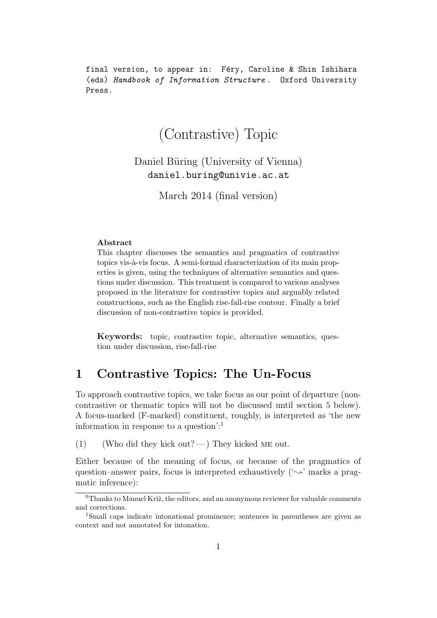final version, to appear in: Féry, Caroline & Shin Ishihara (eds) Handbook of Information Structure . Oxford University Press.

# (Contrastive) Topic

Daniel Büring (University of Vienna) daniel.buring@univie.ac.at

March 2014 (final version)

#### Abstract

This chapter discusses the semantics and pragmatics of contrastive topics vis-à-vis focus. A semi-formal characterization of its main properties is given, using the techniques of alternative semantics and questions under discussion. This treatment is compared to various analyses proposed in the literature for contrastive topics and arguably related constructions, such as the English rise-fall-rise contour. Finally a brief discussion of non-contrastive topics is provided.

Keywords: topic, contrastive topic, alternative semantics, question under discussion, rise-fall-rise

## 1 Contrastive Topics: The Un-Focus

To approach contrastive topics, we take focus as our point of departure (noncontrastive or thematic topics will not be discussed until section 5 below). A focus-marked (F-marked) constituent, roughly, is interpreted as 'the new information in response to a question':<sup>1</sup>

(1) (Who did they kick out?—) They kicked ME out.

Either because of the meaning of focus, or because of the pragmatics of question–answer pairs, focus is interpreted exhaustively  $(\sim)$  marks a pragmatic inference):

 $0$ Thanks to Manuel Križ, the editors, and an anonymous reviewer for valuable comments and corrections.

<sup>1</sup>Small caps indicate intonational prominence; sentences in parentheses are given as context and not annotated for intonation.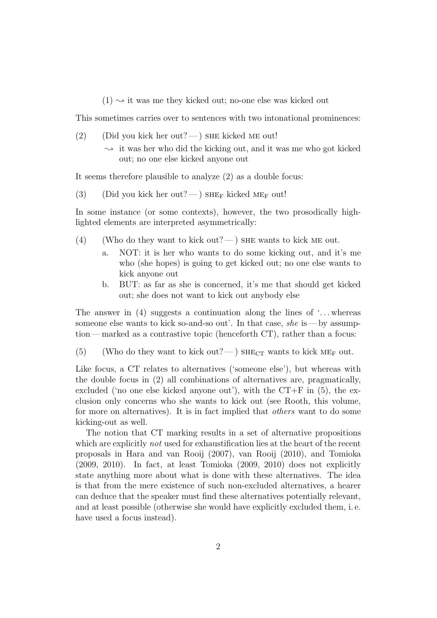$(1) \rightarrow$  it was me they kicked out; no-one else was kicked out

This sometimes carries over to sentences with two intonational prominences:

- (2) (Did you kick her out?—) SHE kicked ME out!
	- $\rightarrow$  it was her who did the kicking out, and it was me who got kicked out; no one else kicked anyone out

It seems therefore plausible to analyze (2) as a double focus:

(3) (Did you kick her out?—) SHE<sub>F</sub> kicked ME<sub>F</sub> out!

In some instance (or some contexts), however, the two prosodically highlighted elements are interpreted asymmetrically:

- (4) (Who do they want to kick out?— ) SHE wants to kick ME out.
	- a. NOT: it is her who wants to do some kicking out, and it's me who (she hopes) is going to get kicked out; no one else wants to kick anyone out
	- b. BUT: as far as she is concerned, it's me that should get kicked out; she does not want to kick out anybody else

The answer in (4) suggests a continuation along the lines of  $\ldots$  whereas someone else wants to kick so-and-so out'. In that case, she is — by assumption— marked as a contrastive topic (henceforth CT), rather than a focus:

(5) (Who do they want to kick out?—)  $SHE_{CT}$  wants to kick ME<sub>F</sub> out.

Like focus, a CT relates to alternatives ('someone else'), but whereas with the double focus in (2) all combinations of alternatives are, pragmatically, excluded ('no one else kicked anyone out'), with the  $CT+F$  in (5), the exclusion only concerns who she wants to kick out (see Rooth, this volume, for more on alternatives). It is in fact implied that others want to do some kicking-out as well.

The notion that CT marking results in a set of alternative propositions which are explicitly *not* used for exhaustification lies at the heart of the recent proposals in Hara and van Rooij (2007), van Rooij (2010), and Tomioka (2009, 2010). In fact, at least Tomioka (2009, 2010) does not explicitly state anything more about what is done with these alternatives. The idea is that from the mere existence of such non-excluded alternatives, a hearer can deduce that the speaker must find these alternatives potentially relevant, and at least possible (otherwise she would have explicitly excluded them, i. e. have used a focus instead).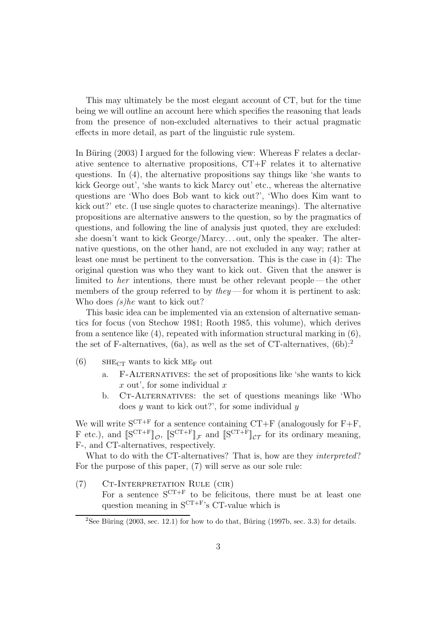This may ultimately be the most elegant account of CT, but for the time being we will outline an account here which specifies the reasoning that leads from the presence of non-excluded alternatives to their actual pragmatic effects in more detail, as part of the linguistic rule system.

In Büring (2003) I argued for the following view: Whereas F relates a declarative sentence to alternative propositions, CT+F relates it to alternative questions. In (4), the alternative propositions say things like 'she wants to kick George out', 'she wants to kick Marcy out' etc., whereas the alternative questions are 'Who does Bob want to kick out?', 'Who does Kim want to kick out?' etc. (I use single quotes to characterize meanings). The alternative propositions are alternative answers to the question, so by the pragmatics of questions, and following the line of analysis just quoted, they are excluded: she doesn't want to kick George/Marcy. . . out, only the speaker. The alternative questions, on the other hand, are not excluded in any way; rather at least one must be pertinent to the conversation. This is the case in (4): The original question was who they want to kick out. Given that the answer is limited to her intentions, there must be other relevant people— the other members of the group referred to by  $they$  — for whom it is pertinent to ask: Who does (s)he want to kick out?

This basic idea can be implemented via an extension of alternative semantics for focus (von Stechow 1981; Rooth 1985, this volume), which derives from a sentence like  $(4)$ , repeated with information structural marking in  $(6)$ , the set of F-alternatives,  $(6a)$ , as well as the set of CT-alternatives,  $(6b)$ :<sup>2</sup>

- (6) SHE<sub>CT</sub> wants to kick ME<sub>F</sub> out
	- a. F-Alternatives: the set of propositions like 'she wants to kick  $x$  out', for some individual  $x$
	- b. CT-ALTERNATIVES: the set of questions meanings like 'Who does  $y$  want to kick out?', for some individual  $y$

We will write  $S^{CT+F}$  for a sentence containing  $CT+F$  (analogously for  $F+F$ , F etc.), and  $[\mathbb{S}^{\mathbf{CT}+\mathbf{F}}]_{\mathcal{O}}$ ,  $[\mathbb{S}^{\mathbf{CT}+\mathbf{F}}]_{\mathcal{F}}$  and  $[\mathbb{S}^{\mathbf{CT}+\mathbf{F}}]_{\mathcal{CT}}$  for its ordinary meaning, F-, and CT-alternatives, respectively.

What to do with the CT-alternatives? That is, how are they *interpreted*? For the purpose of this paper, (7) will serve as our sole rule:

(7) Ct-Interpretation Rule (cir) For a sentence  $S^{CT+F}$  to be felicitous, there must be at least one question meaning in  $S^{CT+F}$ 's CT-value which is

<sup>&</sup>lt;sup>2</sup>See Büring (2003, sec. 12.1) for how to do that, Büring (1997b, sec. 3.3) for details.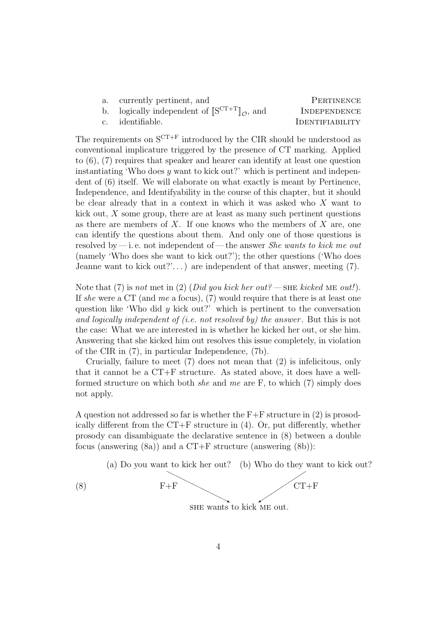| currently pertinent, and                                                               | PERTINENCE   |
|----------------------------------------------------------------------------------------|--------------|
| logically independent of $[\mathbb{S}^{\mathcal{CT}+\mathcal{X}}]_{\mathcal{O}}$ , and | INDEPENDENCE |

c. identifiable. IDENTIFIABILITY

The requirements on  $S^{CT+F}$  introduced by the CIR should be understood as conventional implicature triggered by the presence of CT marking. Applied to (6), (7) requires that speaker and hearer can identify at least one question instantiating 'Who does  $y$  want to kick out?' which is pertinent and independent of (6) itself. We will elaborate on what exactly is meant by Pertinence, Independence, and Identifyability in the course of this chapter, but it should be clear already that in a context in which it was asked who  $X$  want to kick out,  $X$  some group, there are at least as many such pertinent questions as there are members of  $X$ . If one knows who the members of  $X$  are, one can identify the questions about them. And only one of those questions is resolved by—i. e. not independent of—the answer *She wants to kick me out* (namely 'Who does she want to kick out?'); the other questions ('Who does Jeanne want to kick out?'...) are independent of that answer, meeting  $(7)$ .

Note that (7) is not met in (2) (Did you kick her out? — SHE kicked ME out!). If she were a CT (and me a focus),  $(7)$  would require that there is at least one question like 'Who did  $y$  kick out?' which is pertinent to the conversation and logically independent of (i.e. not resolved by) the answer . But this is not the case: What we are interested in is whether he kicked her out, or she him. Answering that she kicked him out resolves this issue completely, in violation of the CIR in (7), in particular Independence, (7b).

Crucially, failure to meet (7) does not mean that (2) is infelicitous, only that it cannot be a CT+F structure. As stated above, it does have a wellformed structure on which both *she* and me are F, to which  $(7)$  simply does not apply.

A question not addressed so far is whether the  $F+F$  structure in (2) is prosodically different from the CT+F structure in (4). Or, put differently, whether prosody can disambiguate the declarative sentence in (8) between a double focus (answering  $(8a)$ ) and a CT+F structure (answering  $(8b)$ ):

(a) Do you want to kick her out? (b) Who do they want to kick out?

$$
F + F
$$
  $CT + F$ 

she wants to kick me out.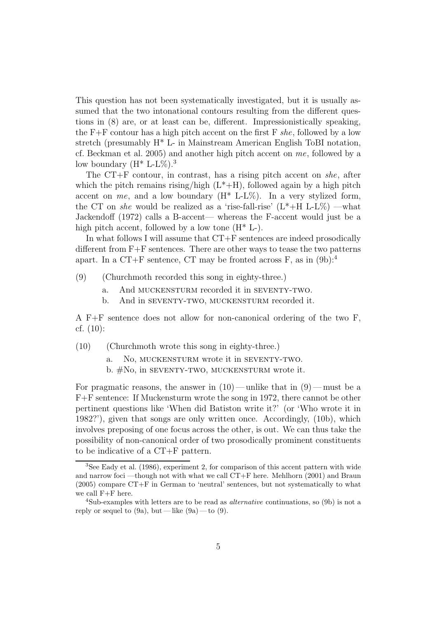This question has not been systematically investigated, but it is usually assumed that the two intonational contours resulting from the different questions in (8) are, or at least can be, different. Impressionistically speaking, the  $F+F$  contour has a high pitch accent on the first F she, followed by a low stretch (presumably H\* L- in Mainstream American English ToBI notation, cf. Beckman et al. 2005) and another high pitch accent on me, followed by a low boundary  $(H^* L-L\%)$ .<sup>3</sup>

The CT+F contour, in contrast, has a rising pitch accent on she, after which the pitch remains rising/high  $(L^*+H)$ , followed again by a high pitch accent on me, and a low boundary  $(H^* L-L\%)$ . In a very stylized form, the CT on she would be realized as a 'rise-fall-rise'  $(L^* + H L - L\%)$  —what Jackendoff (1972) calls a B-accent— whereas the F-accent would just be a high pitch accent, followed by a low tone  $(H^* L)$ .

In what follows I will assume that CT+F sentences are indeed prosodically different from  $F+F$  sentences. There are other ways to tease the two patterns apart. In a CT+F sentence, CT may be fronted across  $F$ , as in  $(9b)$ :<sup>4</sup>

- (9) (Churchmoth recorded this song in eighty-three.)
	- a. And MUCKENSTURM recorded it in SEVENTY-TWO.
	- b. And in SEVENTY-TWO, MUCKENSTURM recorded it.

A F+F sentence does not allow for non-canonical ordering of the two F, cf. (10):

(10) (Churchmoth wrote this song in eighty-three.)

a. No, MUCKENSTURM wrote it in SEVENTY-TWO.

b. #No, in seventy-two, muckensturm wrote it.

For pragmatic reasons, the answer in  $(10)$ — unlike that in  $(9)$ — must be a F+F sentence: If Muckensturm wrote the song in 1972, there cannot be other pertinent questions like 'When did Batiston write it?' (or 'Who wrote it in 1982?'), given that songs are only written once. Accordingly, (10b), which involves preposing of one focus across the other, is out. We can thus take the possibility of non-canonical order of two prosodically prominent constituents to be indicative of a CT+F pattern.

<sup>3</sup>See Eady et al. (1986), experiment 2, for comparison of this accent pattern with wide and narrow foci —though not with what we call CT+F here. Mehlhorn (2001) and Braun (2005) compare CT+F in German to 'neutral' sentences, but not systematically to what we call F+F here.

<sup>4</sup>Sub-examples with letters are to be read as alternative continuations, so (9b) is not a reply or sequel to  $(9a)$ , but — like  $(9a)$ — to  $(9)$ .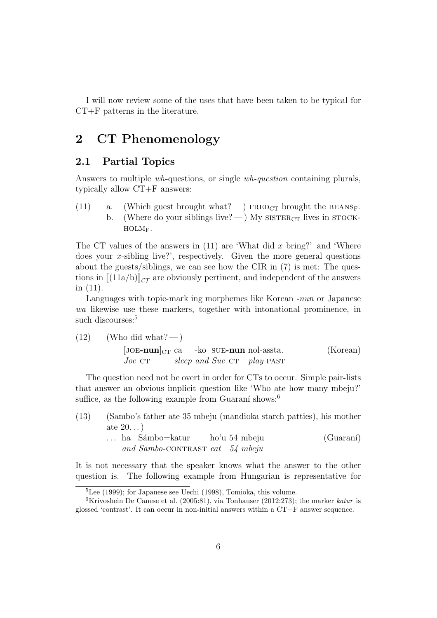I will now review some of the uses that have been taken to be typical for CT+F patterns in the literature.

### 2 CT Phenomenology

#### 2.1 Partial Topics

Answers to multiple wh-questions, or single wh-question containing plurals, typically allow CT+F answers:

(11) a. (Which guest brought what?—) FRED<sub>CT</sub> brought the BEANS<sub>F</sub>. b. (Where do your siblings live? — ) My  $SISTER_{CT}$  lives in  $STOCK$ holmF.

The CT values of the answers in  $(11)$  are 'What did x bring?' and 'Where does your x-sibling live?', respectively. Given the more general questions about the guests/siblings, we can see how the CIR in (7) is met: The questions in  $[(11a/b)]_{c\tau}$  are obviously pertinent, and independent of the answers in (11).

Languages with topic-mark ing morphemes like Korean -nun or Japanese wa likewise use these markers, together with intonational prominence, in such discourses:<sup>5</sup>

(12) (Who did what? —)  
\n[JOE-nun]<sub>CT</sub> ca -ko SUE-nun nol-asseta. (Korean)  
\n
$$
Joe
$$
 CT *sleep and Sue* CT *play* PAST

The question need not be overt in order for CTs to occur. Simple pair-lists that answer an obvious implicit question like 'Who ate how many mbeju?' suffice, as the following example from Guaraní shows:<sup>6</sup>

- (13) (Sambo's father ate 35 mbeju (mandioka starch patties), his mother ate 20. . . )
	- ... ha Sámbo=katur and Sambo-CONTRAST eat 54 mbeju ho'u 54 mbeju  $(Guaran'$

It is not necessary that the speaker knows what the answer to the other question is. The following example from Hungarian is representative for

<sup>5</sup>Lee (1999); for Japanese see Uechi (1998), Tomioka, this volume.

<sup>&</sup>lt;sup>6</sup>Krivoshein De Canese et al. (2005:81), via Tonhauser (2012:273); the marker katur is glossed 'contrast'. It can occur in non-initial answers within a CT+F answer sequence.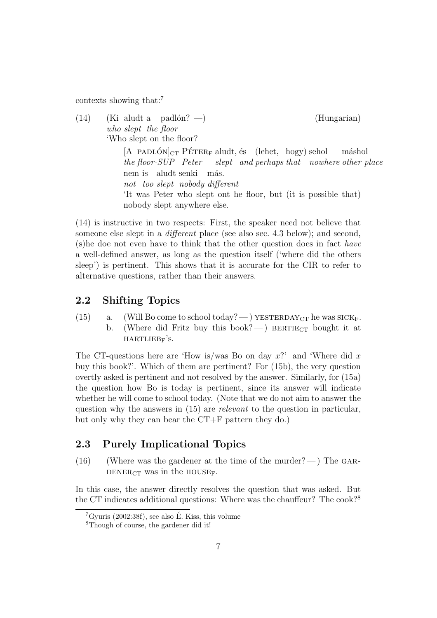contexts showing that:<sup>7</sup>

 $(14)$ who slept the floor aludt a padlón? —) (Hungarian) 'Who slept on the floor?  $[A$  PADLÓN $]_{CT}$  PÉTER<sub>F</sub> aludt, és (lehet, hogy) sehol the floor-SUP Peter slept and perhaps that nowhere other place máshol nem is aludt senki not too slept nobody different más. 'It was Peter who slept ont he floor, but (it is possible that) nobody slept anywhere else.

(14) is instructive in two respects: First, the speaker need not believe that someone else slept in a different place (see also sec. 4.3 below); and second, (s)he doe not even have to think that the other question does in fact have a well-defined answer, as long as the question itself ('where did the others sleep') is pertinent. This shows that it is accurate for the CIR to refer to alternative questions, rather than their answers.

### 2.2 Shifting Topics

- (15) a. (Will Bo come to school today? ) YESTERDAY<sub>CT</sub> he was SICK<sub>F</sub>.
	- b. (Where did Fritz buy this book?—) BERTIE<sub>CT</sub> bought it at  $HARTLIEB<sub>F</sub>'s.$

The CT-questions here are 'How is/was Bo on day  $x$ ?' and 'Where did x buy this book?'. Which of them are pertinent? For (15b), the very question overtly asked is pertinent and not resolved by the answer. Similarly, for (15a) the question how Bo is today is pertinent, since its answer will indicate whether he will come to school today. (Note that we do not aim to answer the question why the answers in  $(15)$  are *relevant* to the question in particular, but only why they can bear the CT+F pattern they do.)

### 2.3 Purely Implicational Topics

 $(16)$  (Where was the gardener at the time of the murder?—) The GAR-DENER<sub>CT</sub> was in the HOUSE<sub>F</sub>.

In this case, the answer directly resolves the question that was asked. But the CT indicates additional questions: Where was the chauffeur? The cook?<sup>8</sup>

 ${}^{7}$ Gyuris (2002:38f), see also É. Kiss, this volume

<sup>8</sup>Though of course, the gardener did it!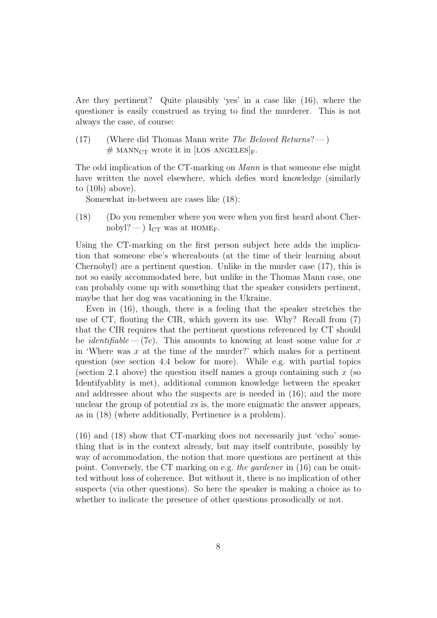Are they pertinent? Quite plausibly 'yes' in a case like (16), where the questioner is easily construed as trying to find the murderer. This is not always the case, of course:

(17) (Where did Thomas Mann write The Beloved Returns?—)  $\#$  MANN<sub>CT</sub> wrote it in [LOS ANGELES]<sub>F</sub>.

The odd implication of the CT-marking on Mann is that someone else might have written the novel elsewhere, which defies word knowledge (similarly to (10b) above).

Somewhat in-between are cases like (18):

(18) (Do you remember where you were when you first heard about Chernobyl?—)  $I_{CT}$  was at HOME<sub>F</sub>.

Using the CT-marking on the first person subject here adds the implication that someone else's whereabouts (at the time of their learning about Chernobyl) are a pertinent question. Unlike in the murder case (17), this is not so easily accommodated here, but unlike in the Thomas Mann case, one can probably come up with something that the speaker considers pertinent, maybe that her dog was vacationing in the Ukraine.

Even in (16), though, there is a feeling that the speaker stretches the use of CT, flouting the CIR, which govern its use. Why? Recall from (7) that the CIR requires that the pertinent questions referenced by CT should be *identifiable*  $-(7c)$ . This amounts to knowing at least some value for x in 'Where was  $x$  at the time of the murder?' which makes for a pertinent question (see section 4.4 below for more). While e.g. with partial topics (section 2.1 above) the question itself names a group containing such  $x$  (so Identifyablity is met), additional common knowledge between the speaker and addressee about who the suspects are is needed in (16); and the more unclear the group of potential xs is, the more enigmatic the answer appears, as in (18) (where additionally, Pertinence is a problem).

(16) and (18) show that CT-marking does not necessarily just 'echo' something that is in the context already, but may itself contribute, possibly by way of accommodation, the notion that more questions are pertinent at this point. Conversely, the CT marking on e.g. the gardener in (16) can be omitted without loss of coherence. But without it, there is no implication of other suspects (via other questions). So here the speaker is making a choice as to whether to indicate the presence of other questions prosodically or not.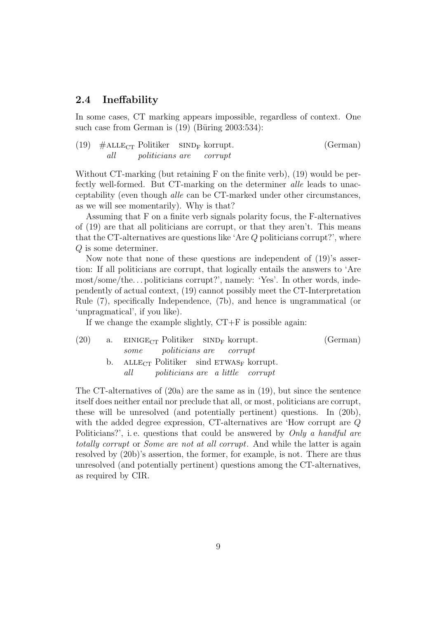### 2.4 Ineffability

In some cases, CT marking appears impossible, regardless of context. One such case from German is  $(19)$  (Büring 2003:534):

(19)  $\#$ ALLE<sub>CT</sub> Politiker SIND<sub>F</sub> korrupt. all politicians are corrupt (German)

Without CT-marking (but retaining F on the finite verb), (19) would be perfectly well-formed. But CT-marking on the determiner alle leads to unacceptability (even though alle can be CT-marked under other circumstances, as we will see momentarily). Why is that?

Assuming that F on a finite verb signals polarity focus, the F-alternatives of (19) are that all politicians are corrupt, or that they aren't. This means that the CT-alternatives are questions like 'Are Q politicians corrupt?', where Q is some determiner.

Now note that none of these questions are independent of (19)'s assertion: If all politicians are corrupt, that logically entails the answers to 'Are most/some/the. . . politicians corrupt?', namely: 'Yes'. In other words, independently of actual context, (19) cannot possibly meet the CT-Interpretation Rule (7), specifically Independence, (7b), and hence is ungrammatical (or 'unpragmatical', if you like).

If we change the example slightly,  $CT+F$  is possible again:

| (20) | a. EINIGE <sub>CT</sub> Politiker SIND <sub>F</sub> korrupt. | (German) |
|------|--------------------------------------------------------------|----------|
|      | some politicians are corrupt                                 |          |
|      | b. ALLE <sub>CT</sub> Politiker sind $ETWAS_F$ korrupt.      |          |
|      | all <i>politicians</i> are a little corrupt                  |          |
|      |                                                              |          |

The CT-alternatives of (20a) are the same as in (19), but since the sentence itself does neither entail nor preclude that all, or most, politicians are corrupt, these will be unresolved (and potentially pertinent) questions. In (20b), with the added degree expression, CT-alternatives are 'How corrupt are Q Politicians?', i.e. questions that could be answered by Only a handful are totally corrupt or Some are not at all corrupt. And while the latter is again resolved by (20b)'s assertion, the former, for example, is not. There are thus unresolved (and potentially pertinent) questions among the CT-alternatives, as required by CIR.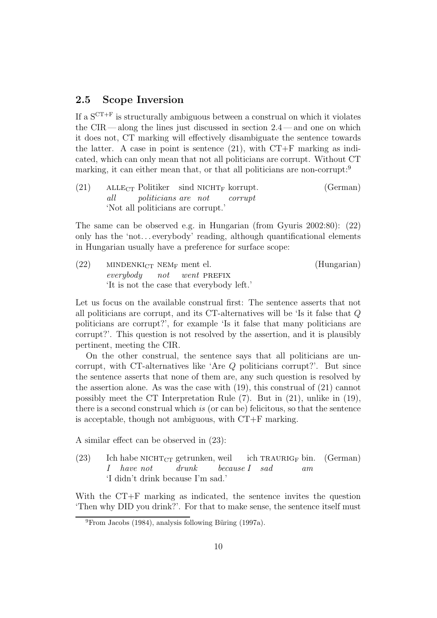### 2.5 Scope Inversion

If a  $S^{CT+F}$  is structurally ambiguous between a construal on which it violates the  $CIR$  — along the lines just discussed in section  $2.4$  — and one on which it does not, CT marking will effectively disambiguate the sentence towards the latter. A case in point is sentence  $(21)$ , with  $CT+F$  marking as indicated, which can only mean that not all politicians are corrupt. Without CT marking, it can either mean that, or that all politicians are non-corrupt:<sup>9</sup>

 $(21)$  ALLE<sub>CT</sub> Politiker all politicians are not  $\sin$ d NICHT<sub>F</sub> korrupt. corrupt (German) 'Not all politicians are corrupt.'

The same can be observed e.g. in Hungarian (from Gyuris 2002:80): (22) only has the 'not... everybody' reading, although quantificational elements in Hungarian usually have a preference for surface scope:

 $(22)$  MINDENKI<sub>CT</sub> NEM<sub>F</sub> ment el. everybody not  $went$ PREFIX (Hungarian) 'It is not the case that everybody left.'

Let us focus on the available construal first: The sentence asserts that not all politicians are corrupt, and its CT-alternatives will be 'Is it false that Q politicians are corrupt?', for example 'Is it false that many politicians are corrupt?'. This question is not resolved by the assertion, and it is plausibly pertinent, meeting the CIR.

On the other construal, the sentence says that all politicians are uncorrupt, with CT-alternatives like 'Are Q politicians corrupt?'. But since the sentence asserts that none of them are, any such question is resolved by the assertion alone. As was the case with (19), this construal of (21) cannot possibly meet the CT Interpretation Rule (7). But in (21), unlike in (19), there is a second construal which is (or can be) felicitous, so that the sentence is acceptable, though not ambiguous, with CT+F marking.

A similar effect can be observed in (23):

 $(23)$ I habe  $\textsc{nicHT}_{\textsc{CT}}$  getrunken, weil have not drunk because I sad  $ich$  TRAURIG<sub>F</sub> bin. am (German) 'I didn't drink because I'm sad.'

With the CT+F marking as indicated, the sentence invites the question 'Then why DID you drink?'. For that to make sense, the sentence itself must

 $^{9}$ From Jacobs (1984), analysis following Büring (1997a).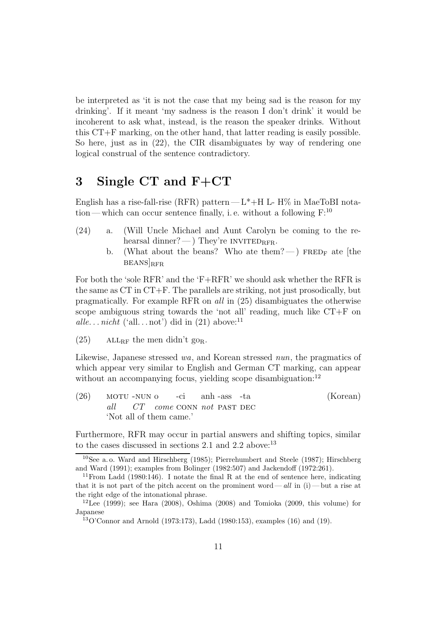be interpreted as 'it is not the case that my being sad is the reason for my drinking'. If it meant 'my sadness is the reason I don't drink' it would be incoherent to ask what, instead, is the reason the speaker drinks. Without this CT+F marking, on the other hand, that latter reading is easily possible. So here, just as in (22), the CIR disambiguates by way of rendering one logical construal of the sentence contradictory.

# 3 Single CT and F+CT

English has a rise-fall-rise (RFR) pattern— $L^*$ +H L- H% in MaeToBI notation—which can occur sentence finally, i.e. without a following  $F:^{10}$ 

- (24) a. (Will Uncle Michael and Aunt Carolyn be coming to the rehearsal dinner?— ) They're INVITED<sub>RFR</sub>.
	- b. (What about the beans? Who ate them? —) FRED<sub>F</sub> ate [the  $BEANS$ <sub>RFR</sub>

For both the 'sole RFR' and the 'F+RFR' we should ask whether the RFR is the same as CT in CT+F. The parallels are striking, not just prosodically, but pragmatically. For example RFR on all in (25) disambiguates the otherwise scope ambiguous string towards the 'not all' reading, much like CT+F on alle... nicht ('all... not') did in  $(21)$  above:<sup>11</sup>

(25) ALL<sub>RF</sub> the men didn't go<sub>R</sub>.

Likewise, Japanese stressed wa, and Korean stressed nun, the pragmatics of which appear very similar to English and German CT marking, can appear without an accompanying focus, yielding scope disambiguation:<sup>12</sup>

 $(26)$  MOTU-NUN o all  $CT$  come CONN not PAST DEC -ci anh -ass -ta (Korean) 'Not all of them came.'

Furthermore, RFR may occur in partial answers and shifting topics, similar to the cases discussed in sections 2.1 and 2.2 above: $^{13}$ 

<sup>10</sup>See a. o. Ward and Hirschberg (1985); Pierrehumbert and Steele (1987); Hirschberg and Ward (1991); examples from Bolinger (1982:507) and Jackendoff (1972:261).

<sup>&</sup>lt;sup>11</sup> From Ladd  $(1980:146)$ . I notate the final R at the end of sentence here, indicating that it is not part of the pitch accent on the prominent word—  $all$  in (i)— but a rise at the right edge of the intonational phrase.

<sup>&</sup>lt;sup>12</sup>Lee (1999); see Hara (2008), Oshima (2008) and Tomioka (2009, this volume) for Japanese

 $13O'$ Connor and Arnold (1973:173), Ladd (1980:153), examples (16) and (19).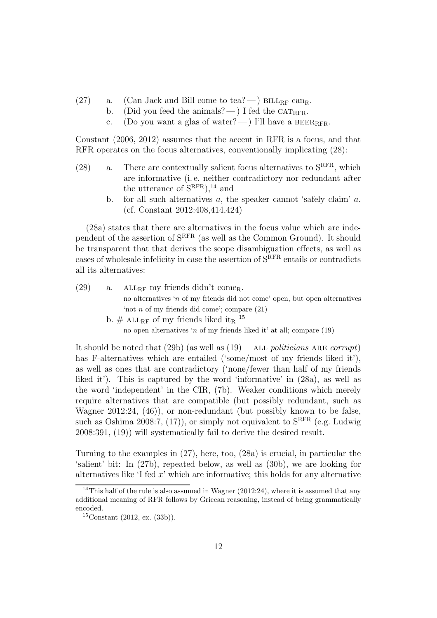- (27) a. (Can Jack and Bill come to tea? )  $BILL_{RF}$  can<sub>R</sub>.
	- b. (Did you feed the animals? ) I fed the CAT<sub>RFR</sub>.
		- c. (Do you want a glas of water? ) I'll have a BEER<sub>RFR</sub>.

Constant (2006, 2012) assumes that the accent in RFR is a focus, and that RFR operates on the focus alternatives, conventionally implicating (28):

- (28) a. There are contextually salient focus alternatives to  $S<sup>RFR</sup>$ , which are informative (i. e. neither contradictory nor redundant after the utterance of  $S<sup>RFR</sup>$ ,<sup>14</sup> and
	- b. for all such alternatives  $a$ , the speaker cannot 'safely claim'  $a$ . (cf. Constant 2012:408,414,424)

(28a) states that there are alternatives in the focus value which are independent of the assertion of SRFR (as well as the Common Ground). It should be transparent that that derives the scope disambiguation effects, as well as cases of wholesale infelicity in case the assertion of SRFR entails or contradicts all its alternatives:

| (29) | a. | ALL <sub>RF</sub> my friends didn't come <sub>R</sub> .                    |
|------|----|----------------------------------------------------------------------------|
|      |    | no alternatives 'n of my friends did not come' open, but open alternatives |
|      |    | 'not <i>n</i> of my friends did come'; compare $(21)$                      |
|      |    | b. # ALL <sub>RF</sub> of my friends liked it <sub>R</sub> <sup>15</sup>   |
|      |    | no open alternatives 'n of my friends liked it at all; compare $(19)$      |

It should be noted that  $(29b)$  (as well as  $(19)$  — ALL politicians ARE corrupt) has F-alternatives which are entailed ('some/most of my friends liked it'), as well as ones that are contradictory ('none/fewer than half of my friends liked it'). This is captured by the word 'informative' in (28a), as well as the word 'independent' in the CIR, (7b). Weaker conditions which merely require alternatives that are compatible (but possibly redundant, such as Wagner 2012:24, (46)), or non-redundant (but possibly known to be false, such as Oshima 2008:7, (17)), or simply not equivalent to  $S<sup>RFR</sup>$  (e.g. Ludwig 2008:391, (19)) will systematically fail to derive the desired result.

Turning to the examples in (27), here, too, (28a) is crucial, in particular the 'salient' bit: In (27b), repeated below, as well as (30b), we are looking for alternatives like  $\mathcal{I}$  fed  $x$ ' which are informative; this holds for any alternative

 $14$ This half of the rule is also assumed in Wagner (2012:24), where it is assumed that any additional meaning of RFR follows by Gricean reasoning, instead of being grammatically encoded.

 $15$ Constant  $(2012, ex. (33b)).$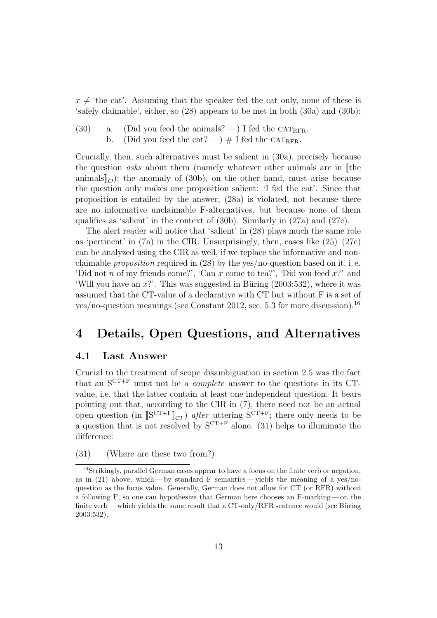$x \neq$  'the cat'. Assuming that the speaker fed the cat only, none of these is 'safely claimable', either, so (28) appears to be met in both (30a) and (30b):

- (30) a. (Did you feed the animals?  $\rightarrow$  I fed the CAT<sub>RFR</sub>.
	- b. (Did you feed the cat? )  $\#$  I fed the CATRFR.

Crucially, then, such alternatives must be salient in (30a), precisely because the question *asks* about them (namely whatever other animals are in  $\lbrack \rbrack$  the animals $\|$ <sub>O</sub>); the anomaly of (30b), on the other hand, must arise because the question only makes one proposition salient: 'I fed the cat'. Since that proposition is entailed by the answer, (28a) is violated, not because there are no informative unclaimable F-alternatives, but because none of them qualifies as 'salient' in the context of (30b). Similarly in (27a) and (27c).

The alert reader will notice that 'salient' in (28) plays much the same role as 'pertinent' in  $(7a)$  in the CIR. Unsurprisingly, then, cases like  $(25)-(27c)$ can be analyzed using the CIR as well, if we replace the informative and nonclaimable *proposition* required in  $(28)$  by the yes/no-question based on it, i.e. 'Did not n of my friends come?', 'Can x come to tea?', 'Did you feed  $x$ ?' and 'Will you have an  $x$ ?'. This was suggested in Büring  $(2003:532)$ , where it was assumed that the CT-value of a declarative with CT but without F is a set of yes/no-question meanings (see Constant 2012, sec. 5.3 for more discussion).<sup>16</sup>

### 4 Details, Open Questions, and Alternatives

#### 4.1 Last Answer

Crucial to the treatment of scope disambiguation in section 2.5 was the fact that an  $S^{CT+F}$  must not be a *complete* answer to the questions in its CTvalue, i.e. that the latter contain at least one independent question. It bears pointing out that, according to the CIR in (7), there need not be an actual open question (in  $[\mathrm{S}^{\mathrm{CT}+\mathrm{F}}]_{\mathcal{CT}}$ ) after uttering  $\mathrm{S}^{\mathrm{CT}+\mathrm{F}}$ ; there only needs to be a question that is not resolved by  $S^{CT+F}$  alone. (31) helps to illuminate the difference:

(31) (Where are these two from?)

<sup>16</sup>Strikingly, parallel German cases appear to have a focus on the finite verb or negation, as in  $(21)$  above, which— by standard F semantics— yields the meaning of a yes/noquestion as the focus value. Generally, German does not allow for CT (or RFR) without a following F, so one can hypothesize that German here chooses an F-marking— on the finite verb— which yields the same result that a  $CT-only/RFR$  sentence would (see Büring 2003:532).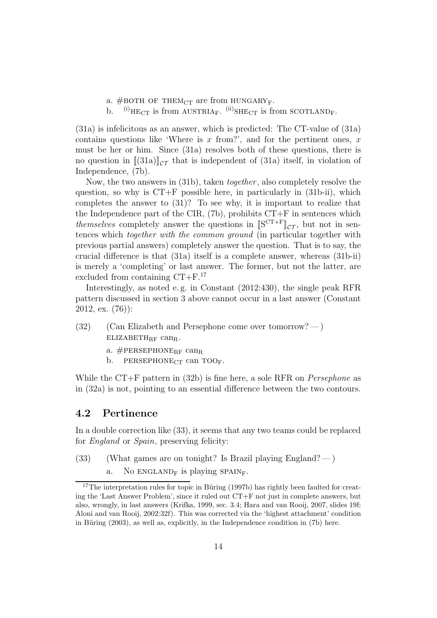- a. #BOTH OF THEM<sub>CT</sub> are from HUNGARY<sub>F</sub>.
- b.  $^{(i)}$ HE<sub>CT</sub> is from AUSTRIA<sub>F</sub>.  $^{(ii)}$ SHE<sub>CT</sub> is from SCOTLAND<sub>F</sub>.

(31a) is infelicitous as an answer, which is predicted: The CT-value of (31a) contains questions like 'Where is  $x$  from?', and for the pertinent ones,  $x$ must be her or him. Since (31a) resolves both of these questions, there is no question in  $[(31a)]_{\mathcal{CT}}$  that is independent of  $(31a)$  itself, in violation of Independence, (7b).

Now, the two answers in (31b), taken *together*, also completely resolve the question, so why is  $CT+F$  possible here, in particularly in  $(31b-ii)$ , which completes the answer to (31)? To see why, it is important to realize that the Independence part of the CIR,  $(7b)$ , prohibits  $CT+F$  in sentences which themselves completely answer the questions in  $[S^{CT+F}]\_\mathcal{CT}$ , but not in sentences which together with the common ground (in particular together with previous partial answers) completely answer the question. That is to say, the crucial difference is that (31a) itself is a complete answer, whereas (31b-ii) is merely a 'completing' or last answer. The former, but not the latter, are excluded from containing CT+F.<sup>17</sup>

Interestingly, as noted e. g. in Constant (2012:430), the single peak RFR pattern discussed in section 3 above cannot occur in a last answer (Constant 2012, ex. (76)):

- $(32)$  (Can Elizabeth and Persephone come over tomorrow?—)  $ELIZABETH_{RF}$  can<sub>R</sub>.
	- a.  $\#$ PERSEPHONE<sub>RF</sub> can<sub>R</sub>
	- b. PERSEPHONE<sub>CT</sub> can TOO<sub>F</sub>.

While the  $CT+F$  pattern in (32b) is fine here, a sole RFR on *Persephone* as in (32a) is not, pointing to an essential difference between the two contours.

#### 4.2 Pertinence

In a double correction like (33), it seems that any two teams could be replaced for *England* or *Spain*, preserving felicity:

- (33) (What games are on tonight? Is Brazil playing England?— )
	- a. No ENGLAND<sub>F</sub> is playing SPAIN<sub>F</sub>.

 $17$ The interpretation rules for topic in Büring (1997b) has rightly been faulted for creating the 'Last Answer Problem', since it ruled out CT+F not just in complete answers, but also, wrongly, in last answers (Krifka, 1999, sec. 3.4; Hara and van Rooij, 2007, slides 19f; Aloni and van Rooij, 2002:32f). This was corrected via the 'highest attachment' condition in Büring  $(2003)$ , as well as, explicitly, in the Independence condition in  $(7b)$  here.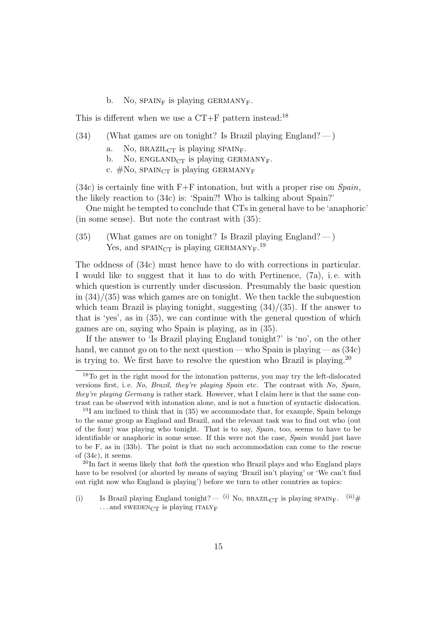b. No,  $SPAIN<sub>F</sub>$  is playing GERMANY<sub>F</sub>.

This is different when we use a  $CT+F$  pattern instead:<sup>18</sup>

- $(34)$  (What games are on tonight? Is Brazil playing England?—)
	- a. No,  $BRAZIL_{CT}$  is playing SPAIN<sub>F</sub>.
	- b. No,  $ENGLAND<sub>CT</sub>$  is playing GERMANY<sub>F</sub>.
	- c.  $\#\text{No}$ , SPAIN<sub>CT</sub> is playing GERMANY<sub>F</sub>

(34c) is certainly fine with  $F+F$  intonation, but with a proper rise on  $Span_i$ , the likely reaction to (34c) is: 'Spain?! Who is talking about Spain?'

One might be tempted to conclude that CTs in general have to be 'anaphoric' (in some sense). But note the contrast with (35):

(35) (What games are on tonight? Is Brazil playing England?—) Yes, and  $SPAIN_{CT}$  is playing GERMANY<sub>F</sub>.<sup>19</sup>

The oddness of (34c) must hence have to do with corrections in particular. I would like to suggest that it has to do with Pertinence, (7a), i. e. with which question is currently under discussion. Presumably the basic question in  $(34)/(35)$  was which games are on tonight. We then tackle the subquestion which team Brazil is playing tonight, suggesting  $(34)/(35)$ . If the answer to that is 'yes', as in (35), we can continue with the general question of which games are on, saying who Spain is playing, as in (35).

If the answer to 'Is Brazil playing England tonight?' is 'no', on the other hand, we cannot go on to the next question— who Spain is playing — as  $(34c)$ is trying to. We first have to resolve the question who Brazil is playing. 20

<sup>&</sup>lt;sup>18</sup>To get in the right mood for the intonation patterns, you may try the left-dislocated versions first, i.e. No. Brazil, they're playing Spain etc. The contrast with No. Spain, they're playing Germany is rather stark. However, what I claim here is that the same contrast can be observed with intonation alone, and is not a function of syntactic dislocation.

<sup>19</sup>I am inclined to think that in (35) we accommodate that, for example, Spain belongs to the same group as England and Brazil, and the relevant task was to find out who (out of the four) was playing who tonight. That is to say, Spain, too, seems to have to be identifiable or anaphoric in some sense. If this were not the case, *Spain* would just have to be F, as in (33b). The point is that no such accommodation can come to the rescue of (34c), it seems.

 $^{20}$ In fact it seems likely that *both* the question who Brazil plays and who England plays have to be resolved (or aborted by means of saying 'Brazil isn't playing' or 'We can't find out right now who England is playing') before we turn to other countries as topics:

<sup>(</sup>i) Is Brazil playing England tonight?  $^{(i)}$  No, BRAZIL<sub>CT</sub> is playing SPAIN<sub>F</sub>.  $^{(ii)}$ #  $\dots$  and SWEDENCT is playing ITALY<sub>F</sub>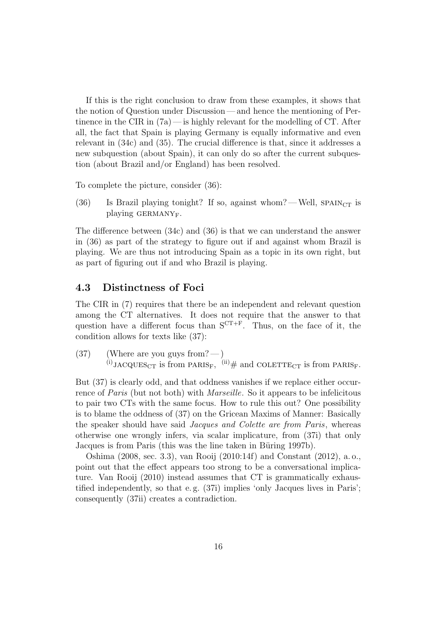If this is the right conclusion to draw from these examples, it shows that the notion of Question under Discussion— and hence the mentioning of Pertinence in the CIR in  $(7a)$ — is highly relevant for the modelling of CT. After all, the fact that Spain is playing Germany is equally informative and even relevant in (34c) and (35). The crucial difference is that, since it addresses a new subquestion (about Spain), it can only do so after the current subquestion (about Brazil and/or England) has been resolved.

To complete the picture, consider (36):

(36) Is Brazil playing tonight? If so, against whom?—Well,  $SPAIN_{CT}$  is playing GERMANY<sub>F</sub>.

The difference between (34c) and (36) is that we can understand the answer in (36) as part of the strategy to figure out if and against whom Brazil is playing. We are thus not introducing Spain as a topic in its own right, but as part of figuring out if and who Brazil is playing.

### 4.3 Distinctness of Foci

The CIR in (7) requires that there be an independent and relevant question among the CT alternatives. It does not require that the answer to that question have a different focus than  $S^{CT+F}$ . Thus, on the face of it, the condition allows for texts like (37):

 $(37)$  (Where are you guys from?—)  $^{(i)}$ JACQUES<sub>CT</sub> is from PARIS<sub>F</sub>,  $^{(ii)}$  # and COLETTE<sub>CT</sub> is from PARIS<sub>F</sub>.

But (37) is clearly odd, and that oddness vanishes if we replace either occurrence of *Paris* (but not both) with *Marseille*. So it appears to be infelicitous to pair two CTs with the same focus. How to rule this out? One possibility is to blame the oddness of (37) on the Gricean Maxims of Manner: Basically the speaker should have said Jacques and Colette are from Paris, whereas otherwise one wrongly infers, via scalar implicature, from (37i) that only Jacques is from Paris (this was the line taken in Büring 1997b).

Oshima (2008, sec. 3.3), van Rooij (2010:14f) and Constant (2012), a. o., point out that the effect appears too strong to be a conversational implicature. Van Rooij (2010) instead assumes that CT is grammatically exhaustified independently, so that e. g. (37i) implies 'only Jacques lives in Paris'; consequently (37ii) creates a contradiction.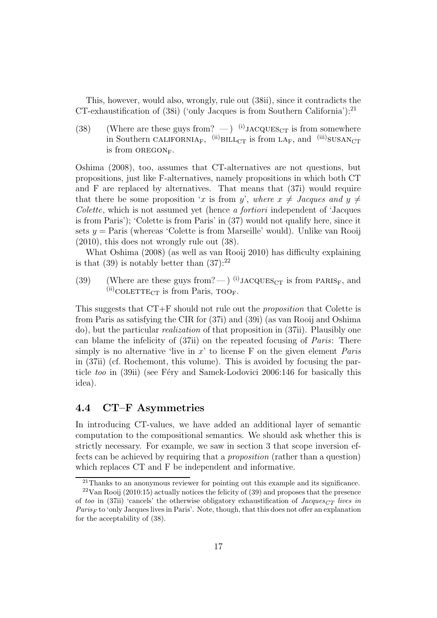This, however, would also, wrongly, rule out (38ii), since it contradicts the CT-exhaustification of (38i) ('only Jacques is from Southern California'):<sup>21</sup>

(38) (Where are these guys from?  $-$ ) (i) JACQUES<sub>CT</sub> is from somewhere in Southern CALIFORNIA<sub>F</sub>,  $^{(ii)}$ BILL<sub>CT</sub> is from LA<sub>F</sub>, and  $^{(iii)}$ SUSAN<sub>CT</sub> is from  $OREGON_F$ .

Oshima (2008), too, assumes that CT-alternatives are not questions, but propositions, just like F-alternatives, namely propositions in which both CT and F are replaced by alternatives. That means that (37i) would require that there be some proposition 'x is from y', where  $x \neq$  Jacques and  $y \neq$ Colette, which is not assumed yet (hence a fortiori independent of 'Jacques is from Paris'); 'Colette is from Paris' in (37) would not qualify here, since it sets  $y =$  Paris (whereas 'Colette is from Marseille' would). Unlike van Rooij (2010), this does not wrongly rule out (38).

What Oshima (2008) (as well as van Rooij 2010) has difficulty explaining is that (39) is notably better than  $(37)$ :<sup>22</sup>

(39) (Where are these guys from? — ) <sup>(i)</sup>JACQUES<sub>CT</sub> is from PARIS<sub>F</sub>, and  $^{(ii)}$ COLETTE<sub>CT</sub> is from Paris, TOO<sub>F</sub>.

This suggests that CT+F should not rule out the proposition that Colette is from Paris as satisfying the CIR for (37i) and (39i) (as van Rooij and Oshima do), but the particular realization of that proposition in (37ii). Plausibly one can blame the infelicity of (37ii) on the repeated focusing of Paris: There simply is no alternative 'live in  $x$ ' to license F on the given element *Paris* in (37ii) (cf. Rochemont, this volume). This is avoided by focusing the particle too in (39ii) (see Féry and Samek-Lodovici 2006:146 for basically this idea).

### 4.4 CT–F Asymmetries

In introducing CT-values, we have added an additional layer of semantic computation to the compositional semantics. We should ask whether this is strictly necessary. For example, we saw in section 3 that scope inversion effects can be achieved by requiring that a proposition (rather than a question) which replaces CT and F be independent and informative.

<sup>21</sup>Thanks to an anonymous reviewer for pointing out this example and its significance.

 $22$ Van Rooij (2010:15) actually notices the felicity of (39) and proposes that the presence of too in (37ii) 'cancels' the otherwise obligatory exhaustification of  $Jacques_{CT}$  lives in  $Paris_F$  to 'only Jacques lives in Paris'. Note, though, that this does not offer an explanation for the acceptability of (38).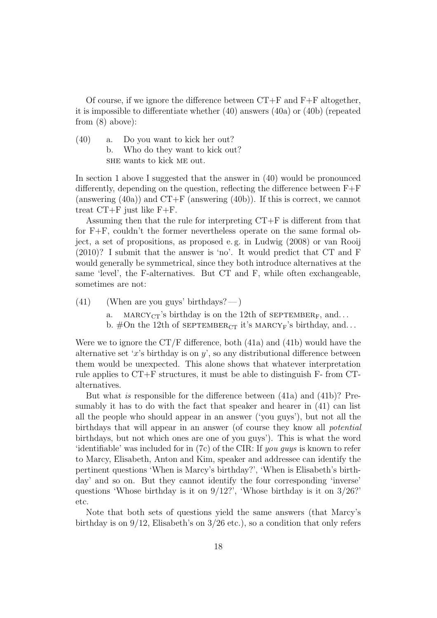Of course, if we ignore the difference between  $CT+F$  and  $F+F$  altogether, it is impossible to differentiate whether (40) answers (40a) or (40b) (repeated from (8) above):

(40) a. Do you want to kick her out? b. Who do they want to kick out? she wants to kick me out.

In section 1 above I suggested that the answer in (40) would be pronounced differently, depending on the question, reflecting the difference between  $F+F$ (answering  $(40a)$ ) and  $CT+F$  (answering  $(40b)$ ). If this is correct, we cannot treat CT+F just like F+F.

Assuming then that the rule for interpreting CT+F is different from that for F+F, couldn't the former nevertheless operate on the same formal object, a set of propositions, as proposed e. g. in Ludwig (2008) or van Rooij (2010)? I submit that the answer is 'no'. It would predict that CT and F would generally be symmetrical, since they both introduce alternatives at the same 'level', the F-alternatives. But CT and F, while often exchangeable, sometimes are not:

- $(41)$  (When are you guys' birthdays?—)
	- a. MARCY<sub>CT</sub>'s birthday is on the 12th of SEPTEMBER<sub>F</sub>, and...
	- b. #On the 12th of  $SEPTEMBER_{CT}$  it's  $MARCY_F$ 's birthday, and...

Were we to ignore the  $CT/F$  difference, both  $(41a)$  and  $(41b)$  would have the alternative set 'x's birthday is on  $y'$ , so any distributional difference between them would be unexpected. This alone shows that whatever interpretation rule applies to CT+F structures, it must be able to distinguish F- from CTalternatives.

But what is responsible for the difference between (41a) and (41b)? Presumably it has to do with the fact that speaker and hearer in (41) can list all the people who should appear in an answer ('you guys'), but not all the birthdays that will appear in an answer (of course they know all potential birthdays, but not which ones are one of you guys'). This is what the word 'identifiable' was included for in (7c) of the CIR: If *you guys* is known to refer to Marcy, Elisabeth, Anton and Kim, speaker and addressee can identify the pertinent questions 'When is Marcy's birthday?', 'When is Elisabeth's birthday' and so on. But they cannot identify the four corresponding 'inverse' questions 'Whose birthday is it on 9/12?', 'Whose birthday is it on 3/26?' etc.

Note that both sets of questions yield the same answers (that Marcy's birthday is on  $9/12$ , Elisabeth's on  $3/26$  etc.), so a condition that only refers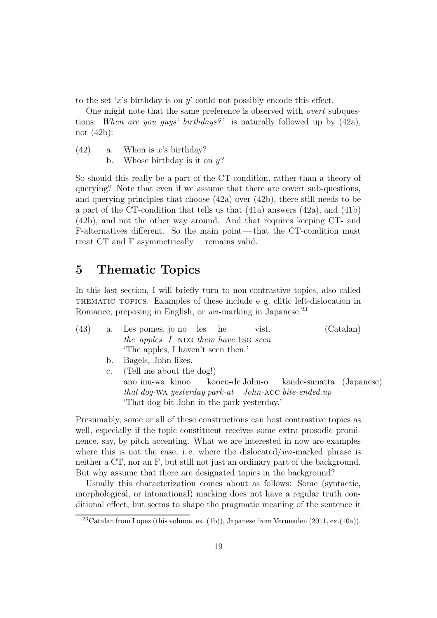to the set 'x's birthday is on y' could not possibly encode this effect.

One might note that the same preference is observed with overt subquestions: When are you guys' birthdays?' is naturally followed up by  $(42a)$ , not (42b):

- $(42)$  a. When is x's birthday?
	- b. Whose birthday is it on  $y$ ?

So should this really be a part of the CT-condition, rather than a theory of querying? Note that even if we assume that there are covert sub-questions, and querying principles that choose (42a) over (42b), there still needs to be a part of the CT-condition that tells us that (41a) answers (42a), and (41b) (42b), and not the other way around. And that requires keeping CT- and F-alternatives different. So the main point— that the CT-condition must treat CT and F asymmetrically— remains valid.

## 5 Thematic Topics

In this last section, I will briefly turn to non-contrastive topics, also called thematic topics. Examples of these include e. g. clitic left-dislocation in Romance, preposing in English, or  $wa$ -marking in Japanese:  $^{23}$ 

| (43) |             | a. Les pomes, jo no les he<br>vist.                        | (Catalan) |
|------|-------------|------------------------------------------------------------|-----------|
|      |             | the apples I NEG them have 1SG seen                        |           |
|      |             | The apples, I haven't seen then.'                          |           |
|      | b.          | Bagels, John likes.                                        |           |
|      | $c_{\cdot}$ | (Tell me about the dog!)                                   |           |
|      |             | ano inu-wa kinoo koo en-de John-o kande-simatta (Japanese) |           |
|      |             | that dog-WA yesterday park-at John-ACC bite-ended.up       |           |
|      |             | 'That dog bit John in the park yesterday.'                 |           |

Presumably, some or all of these constructions can host contrastive topics as well, especially if the topic constituent receives some extra prosodic prominence, say, by pitch accenting. What we are interested in now are examples where this is not the case, i.e. where the dislocated/ $wa$ -marked phrase is neither a CT, nor an F, but still not just an ordinary part of the background. But why assume that there are designated topics in the background?

Usually this characterization comes about as follows: Some (syntactic, morphological, or intonational) marking does not have a regular truth conditional effect, but seems to shape the pragmatic meaning of the sentence it

<sup>&</sup>lt;sup>23</sup>Catalan from Lopez (this volume, ex. (1b)), Japanese from Vermeulen  $(2011, ex.(10a))$ .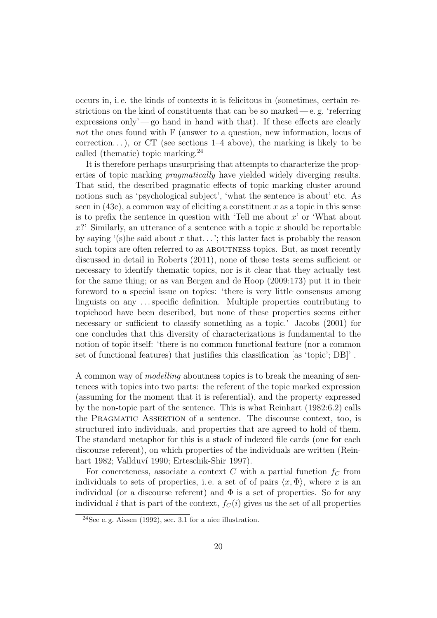occurs in, i. e. the kinds of contexts it is felicitous in (sometimes, certain restrictions on the kind of constituents that can be so marked— $e$ .  $g$ . 'referring expressions only'—go hand in hand with that). If these effects are clearly not the ones found with F (answer to a question, new information, locus of correction...), or CT (see sections  $1-4$  above), the marking is likely to be called (thematic) topic marking.<sup>24</sup>

It is therefore perhaps unsurprising that attempts to characterize the properties of topic marking pragmatically have yielded widely diverging results. That said, the described pragmatic effects of topic marking cluster around notions such as 'psychological subject', 'what the sentence is about' etc. As seen in  $(43c)$ , a common way of eliciting a constituent x as a topic in this sense is to prefix the sentence in question with 'Tell me about  $x'$  or 'What about  $x$ ?' Similarly, an utterance of a sentence with a topic x should be reportable by saying '(s)he said about x that...'; this latter fact is probably the reason such topics are often referred to as ABOUTNESS topics. But, as most recently discussed in detail in Roberts (2011), none of these tests seems sufficient or necessary to identify thematic topics, nor is it clear that they actually test for the same thing; or as van Bergen and de Hoop (2009:173) put it in their foreword to a special issue on topics: 'there is very little consensus among linguists on any . . . specific definition. Multiple properties contributing to topichood have been described, but none of these properties seems either necessary or sufficient to classify something as a topic.' Jacobs (2001) for one concludes that this diversity of characterizations is fundamental to the notion of topic itself: 'there is no common functional feature (nor a common set of functional features) that justifies this classification [as 'topic'; DB]' .

A common way of modelling aboutness topics is to break the meaning of sentences with topics into two parts: the referent of the topic marked expression (assuming for the moment that it is referential), and the property expressed by the non-topic part of the sentence. This is what Reinhart (1982:6.2) calls the Pragmatic Assertion of a sentence. The discourse context, too, is structured into individuals, and properties that are agreed to hold of them. The standard metaphor for this is a stack of indexed file cards (one for each discourse referent), on which properties of the individuals are written (Reinhart 1982; Vallduví 1990; Erteschik-Shir 1997).

For concreteness, associate a context C with a partial function  $f_C$  from individuals to sets of properties, i.e. a set of of pairs  $\langle x, \Phi \rangle$ , where x is an individual (or a discourse referent) and  $\Phi$  is a set of properties. So for any individual *i* that is part of the context,  $f_C(i)$  gives us the set of all properties

<sup>&</sup>lt;sup>24</sup>See e.g. Aissen (1992), sec. 3.1 for a nice illustration.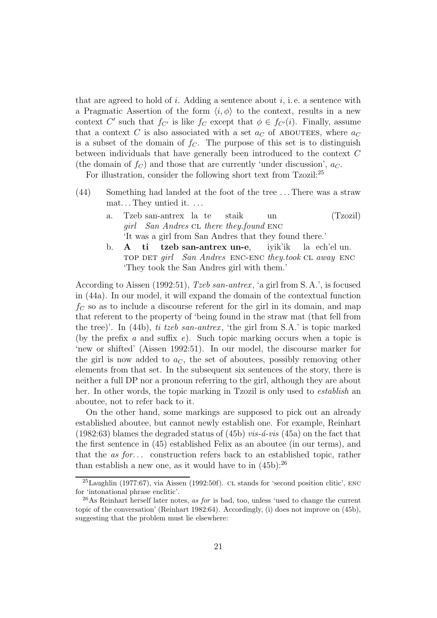that are agreed to hold of i. Adding a sentence about i, i.e. a sentence with a Pragmatic Assertion of the form  $\langle i, \phi \rangle$  to the context, results in a new context C' such that  $f_{C'}$  is like  $f_C$  except that  $\phi \in f_{C'}(i)$ . Finally, assume that a context C is also associated with a set  $a<sub>C</sub>$  of ABOUTEES, where  $a<sub>C</sub>$ is a subset of the domain of  $f<sub>C</sub>$ . The purpose of this set is to distinguish between individuals that have generally been introduced to the context C (the domain of  $f_C$ ) and those that are currently 'under discussion',  $a_C$ .

For illustration, consider the following short text from Tzozil:<sup>25</sup>

- (44) Something had landed at the foot of the tree . . . There was a straw mat. . . They untied it. . . .
	- a. Tzeb san-antrex la te girl San Andres CL there they.found ENC staik un (Tzozil) 'It was a girl from San Andres that they found there.'
	- b. A top det *girl San Andres* ENC-ENC they.took CL away ENC ti tzeb san-antrex un-e, iyik'ik la ech'el un. 'They took the San Andres girl with them.'

According to Aissen (1992:51), Tzeb san-antrex , 'a girl from S. A.', is focused in (44a). In our model, it will expand the domain of the contextual function  $f<sub>C</sub>$  so as to include a discourse referent for the girl in its domain, and map that referent to the property of 'being found in the straw mat (that fell from the tree)'. In  $(44b)$ , ti tzeb san-antrex, 'the girl from S.A.' is topic marked (by the prefix a and suffix  $e$ ). Such topic marking occurs when a topic is 'new or shifted' (Aissen 1992:51). In our model, the discourse marker for the girl is now added to  $a_C$ , the set of aboutees, possibly removing other elements from that set. In the subsequent six sentences of the story, there is neither a full DP nor a pronoun referring to the girl, although they are about her. In other words, the topic marking in Tzozil is only used to *establish* an aboutee, not to refer back to it.

On the other hand, some markings are supposed to pick out an already established aboutee, but cannot newly establish one. For example, Reinhart (1982:63) blames the degraded status of (45b) *vis-* $\acute{a}$ *-vis* (45a) on the fact that the first sentence in (45) established Felix as an aboutee (in our terms), and that the as for... construction refers back to an established topic, rather than establish a new one, as it would have to in  $(45b)$ :<sup>26</sup>

 $^{25}$ Laughlin (1977:67), via Aissen (1992:50f). CL stands for 'second position clitic', ENC for 'intonational phrase enclitic'.

 $^{26}$ As Reinhart herself later notes, as for is bad, too, unless 'used to change the current topic of the conversation' (Reinhart 1982:64). Accordingly, (i) does not improve on (45b), suggesting that the problem must lie elsewhere: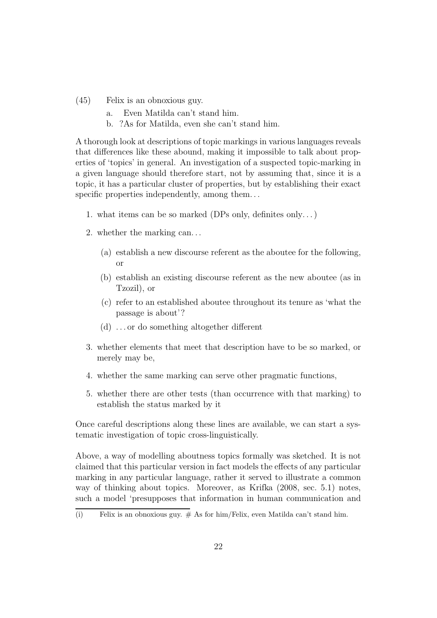- (45) Felix is an obnoxious guy.
	- a. Even Matilda can't stand him.
	- b. ?As for Matilda, even she can't stand him.

A thorough look at descriptions of topic markings in various languages reveals that differences like these abound, making it impossible to talk about properties of 'topics' in general. An investigation of a suspected topic-marking in a given language should therefore start, not by assuming that, since it is a topic, it has a particular cluster of properties, but by establishing their exact specific properties independently, among them. . .

- 1. what items can be so marked (DPs only, definites only. . . )
- 2. whether the marking can. . .
	- (a) establish a new discourse referent as the aboutee for the following, or
	- (b) establish an existing discourse referent as the new aboutee (as in Tzozil), or
	- (c) refer to an established aboutee throughout its tenure as 'what the passage is about'?
	- (d) . . . or do something altogether different
- 3. whether elements that meet that description have to be so marked, or merely may be,
- 4. whether the same marking can serve other pragmatic functions,
- 5. whether there are other tests (than occurrence with that marking) to establish the status marked by it

Once careful descriptions along these lines are available, we can start a systematic investigation of topic cross-linguistically.

Above, a way of modelling aboutness topics formally was sketched. It is not claimed that this particular version in fact models the effects of any particular marking in any particular language, rather it served to illustrate a common way of thinking about topics. Moreover, as Krifka (2008, sec. 5.1) notes, such a model 'presupposes that information in human communication and

<sup>(</sup>i) Felix is an obnoxious guy.  $\#$  As for him/Felix, even Matilda can't stand him.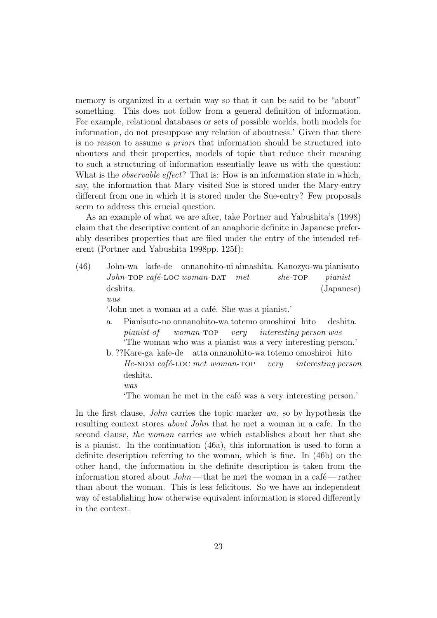memory is organized in a certain way so that it can be said to be "about" something. This does not follow from a general definition of information. For example, relational databases or sets of possible worlds, both models for information, do not presuppose any relation of aboutness.' Given that there is no reason to assume a priori that information should be structured into aboutees and their properties, models of topic that reduce their meaning to such a structuring of information essentially leave us with the question: What is the *observable effect*? That is: How is an information state in which, say, the information that Mary visited Sue is stored under the Mary-entry different from one in which it is stored under the Sue-entry? Few proposals seem to address this crucial question.

As an example of what we are after, take Portner and Yabushita's (1998) claim that the descriptive content of an anaphoric definite in Japanese preferably describes properties that are filed under the entry of the intended referent (Portner and Yabushita 1998pp. 125f):

- (46) John-wa kafe-de onnanohito-ni aimashita. Kanozyo-wa pianisuto John-TOP café-LOC woman-DAT met  $she$ -TOP pianist deshita. was (Japanese) 'John met a woman at a café. She was a pianist.'
	- a. Pianisuto-no onnanohito-wa totemo omoshiroi hito pianist-of woman-top very interesting person was deshita. 'The woman who was a pianist was a very interesting person.'
	- b. ??Kare-ga kafe-de atta onnanohito-wa totemo omoshiroi hito He-NOM café-LOC met woman-TOP very interesting person deshita.
		- was

The woman he met in the café was a very interesting person.'

In the first clause, *John* carries the topic marker wa, so by hypothesis the resulting context stores about John that he met a woman in a cafe. In the second clause, the woman carries wa which establishes about her that she is a pianist. In the continuation (46a), this information is used to form a definite description referring to the woman, which is fine. In (46b) on the other hand, the information in the definite description is taken from the information stored about  $John$ — that he met the woman in a café—rather than about the woman. This is less felicitous. So we have an independent way of establishing how otherwise equivalent information is stored differently in the context.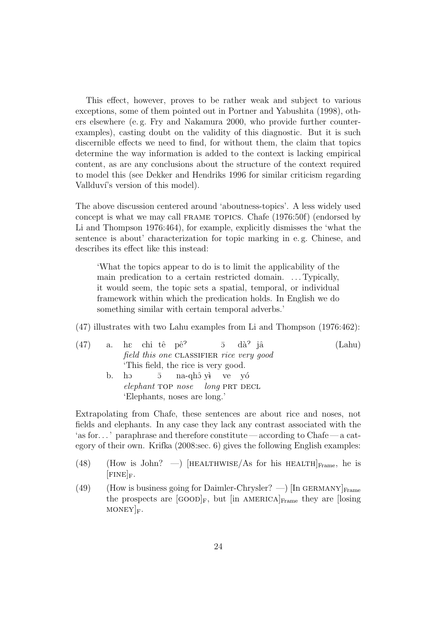This effect, however, proves to be rather weak and subject to various exceptions, some of them pointed out in Portner and Yabushita (1998), others elsewhere (e. g. Fry and Nakamura 2000, who provide further counterexamples), casting doubt on the validity of this diagnostic. But it is such discernible effects we need to find, for without them, the claim that topics determine the way information is added to the context is lacking empirical content, as are any conclusions about the structure of the context required to model this (see Dekker and Hendriks 1996 for similar criticism regarding Vallduvi's version of this model).

The above discussion centered around 'aboutness-topics'. A less widely used concept is what we may call frame topics. Chafe (1976:50f) (endorsed by Li and Thompson 1976:464), for example, explicitly dismisses the 'what the sentence is about' characterization for topic marking in e. g. Chinese, and describes its effect like this instead:

'What the topics appear to do is to limit the applicability of the main predication to a certain restricted domain. . . . Typically, it would seem, the topic sets a spatial, temporal, or individual framework within which the predication holds. In English we do something similar with certain temporal adverbs.'

(47) illustrates with two Lahu examples from Li and Thompson (1976:462):

|  | $(47)$ a. he chi tê pê? $\overline{5}$ dà? jâ | (Lahu) |
|--|-----------------------------------------------|--------|
|  | field this one CLASSIFIER rice very good      |        |
|  | This field, the rice is very good.            |        |
|  | b. ho $\bar{5}$ na-qhô yì ve yó               |        |
|  | elephant TOP nose long PRT DECL               |        |
|  | 'Elephants, noses are long.'                  |        |

Extrapolating from Chafe, these sentences are about rice and noses, not fields and elephants. In any case they lack any contrast associated with the 'as for. . . ' paraphrase and therefore constitute— according to Chafe— a category of their own. Krifka (2008:sec. 6) gives the following English examples:

- (48) (How is John?  $\rightarrow$  [HEALTHWISE/As for his HEALTH] $_{\text{Frame}}$ , he is  $[{\rm FINE}]_F.$
- (49) (How is business going for Daimler-Chrysler? —) [In GERMANY] $_{\text{Frame}}$ the prospects are  $[GOOD]_F$ , but  $[in AMERICA]_{Frame}$  they are  $[losing]$  $MONEY|_F.$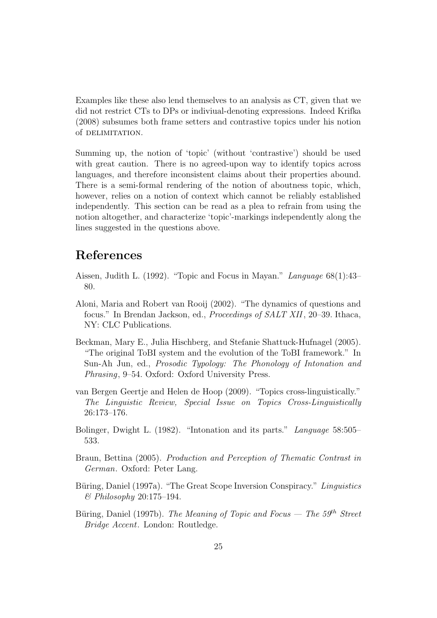Examples like these also lend themselves to an analysis as CT, given that we did not restrict CTs to DPs or indiviual-denoting expressions. Indeed Krifka (2008) subsumes both frame setters and contrastive topics under his notion of DELIMITATION.

Summing up, the notion of 'topic' (without 'contrastive') should be used with great caution. There is no agreed-upon way to identify topics across languages, and therefore inconsistent claims about their properties abound. There is a semi-formal rendering of the notion of aboutness topic, which, however, relies on a notion of context which cannot be reliably established independently. This section can be read as a plea to refrain from using the notion altogether, and characterize 'topic'-markings independently along the lines suggested in the questions above.

# References

- Aissen, Judith L. (1992). "Topic and Focus in Mayan." Language 68(1):43– 80.
- Aloni, Maria and Robert van Rooij (2002). "The dynamics of questions and focus." In Brendan Jackson, ed., Proceedings of SALT XII, 20–39. Ithaca, NY: CLC Publications.
- Beckman, Mary E., Julia Hischberg, and Stefanie Shattuck-Hufnagel (2005). "The original ToBI system and the evolution of the ToBI framework." In Sun-Ah Jun, ed., Prosodic Typology: The Phonology of Intonation and Phrasing, 9–54. Oxford: Oxford University Press.
- van Bergen Geertje and Helen de Hoop (2009). "Topics cross-linguistically." The Linguistic Review, Special Issue on Topics Cross-Linguistically 26:173–176.
- Bolinger, Dwight L. (1982). "Intonation and its parts." Language 58:505– 533.
- Braun, Bettina (2005). Production and Perception of Thematic Contrast in German. Oxford: Peter Lang.
- Büring, Daniel (1997a). "The Great Scope Inversion Conspiracy." Linguistics & Philosophy 20:175–194.
- Büring, Daniel (1997b). The Meaning of Topic and Focus The  $59<sup>th</sup>$  Street Bridge Accent. London: Routledge.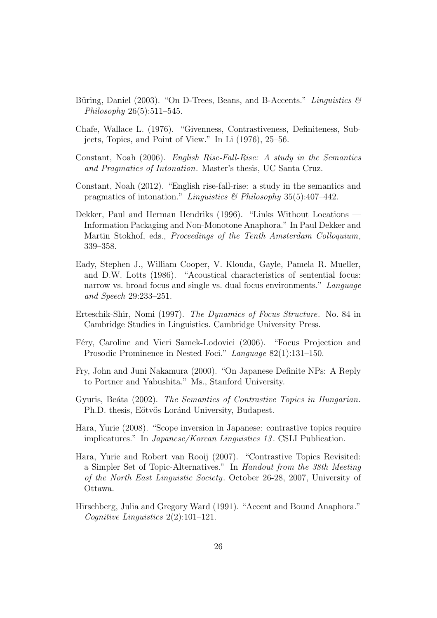- Büring, Daniel (2003). "On D-Trees, Beans, and B-Accents." Linguistics  $\mathcal{B}$ Philosophy 26(5):511–545.
- Chafe, Wallace L. (1976). "Givenness, Contrastiveness, Definiteness, Subjects, Topics, and Point of View." In Li (1976), 25–56.
- Constant, Noah (2006). English Rise-Fall-Rise: A study in the Semantics and Pragmatics of Intonation. Master's thesis, UC Santa Cruz.
- Constant, Noah (2012). "English rise-fall-rise: a study in the semantics and pragmatics of intonation." Linguistics & Philosophy 35(5):407-442.
- Dekker, Paul and Herman Hendriks (1996). "Links Without Locations Information Packaging and Non-Monotone Anaphora." In Paul Dekker and Martin Stokhof, eds., Proceedings of the Tenth Amsterdam Colloquium, 339–358.
- Eady, Stephen J., William Cooper, V. Klouda, Gayle, Pamela R. Mueller, and D.W. Lotts (1986). "Acoustical characteristics of sentential focus: narrow vs. broad focus and single vs. dual focus environments." Language and Speech 29:233–251.
- Erteschik-Shir, Nomi (1997). The Dynamics of Focus Structure. No. 84 in Cambridge Studies in Linguistics. Cambridge University Press.
- Féry, Caroline and Vieri Samek-Lodovici (2006). "Focus Projection and Prosodic Prominence in Nested Foci." Language 82(1):131–150.
- Fry, John and Juni Nakamura (2000). "On Japanese Definite NPs: A Reply to Portner and Yabushita." Ms., Stanford University.
- Gyuris, Beata (2002). The Semantics of Contrastive Topics in Hungarian. Ph.D. thesis, E<sub></sub>otv<sup>os</sup> Loránd University, Budapest.
- Hara, Yurie (2008). "Scope inversion in Japanese: contrastive topics require implicatures." In Japanese/Korean Linguistics 13 . CSLI Publication.
- Hara, Yurie and Robert van Rooij (2007). "Contrastive Topics Revisited: a Simpler Set of Topic-Alternatives." In Handout from the 38th Meeting of the North East Linguistic Society. October 26-28, 2007, University of Ottawa.
- Hirschberg, Julia and Gregory Ward (1991). "Accent and Bound Anaphora." Cognitive Linguistics 2(2):101–121.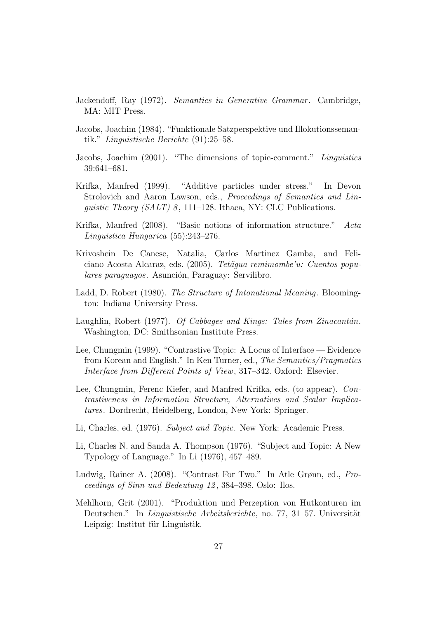- Jackendoff, Ray (1972). Semantics in Generative Grammar. Cambridge, MA: MIT Press.
- Jacobs, Joachim (1984). "Funktionale Satzperspektive und Illokutionssemantik." Linguistische Berichte (91):25–58.
- Jacobs, Joachim (2001). "The dimensions of topic-comment." Linguistics 39:641–681.
- Krifka, Manfred (1999). "Additive particles under stress." In Devon Strolovich and Aaron Lawson, eds., Proceedings of Semantics and Linquistic Theory (SALT) 8, 111–128. Ithaca, NY: CLC Publications.
- Krifka, Manfred (2008). "Basic notions of information structure." Acta Linguistica Hungarica (55):243–276.
- Krivoshein De Canese, Natalia, Carlos Martinez Gamba, and Feliciano Acosta Alcaraz, eds. (2005). Tetãgua remimombe'u: Cuentos populares paraguayos. Asunción, Paraguay: Servilibro.
- Ladd, D. Robert (1980). The Structure of Intonational Meaning. Bloomington: Indiana University Press.
- Laughlin, Robert  $(1977)$ . Of Cabbages and Kings: Tales from Zinacantán. Washington, DC: Smithsonian Institute Press.
- Lee, Chungmin (1999). "Contrastive Topic: A Locus of Interface Evidence from Korean and English." In Ken Turner, ed., The Semantics/Pragmatics Interface from Different Points of View, 317–342. Oxford: Elsevier.
- Lee, Chungmin, Ferenc Kiefer, and Manfred Krifka, eds. (to appear). Contrastiveness in Information Structure, Alternatives and Scalar Implicatures. Dordrecht, Heidelberg, London, New York: Springer.
- Li, Charles, ed. (1976). Subject and Topic. New York: Academic Press.
- Li, Charles N. and Sanda A. Thompson (1976). "Subject and Topic: A New Typology of Language." In Li (1976), 457–489.
- Ludwig, Rainer A. (2008). "Contrast For Two." In Atle Grønn, ed., Proceedings of Sinn und Bedeutung 12 , 384–398. Oslo: Ilos.
- Mehlhorn, Grit (2001). "Produktion und Perzeption von Hutkonturen im Deutschen." In Linguistische Arbeitsberichte, no. 77, 31–57. Universität Leipzig: Institut für Linguistik.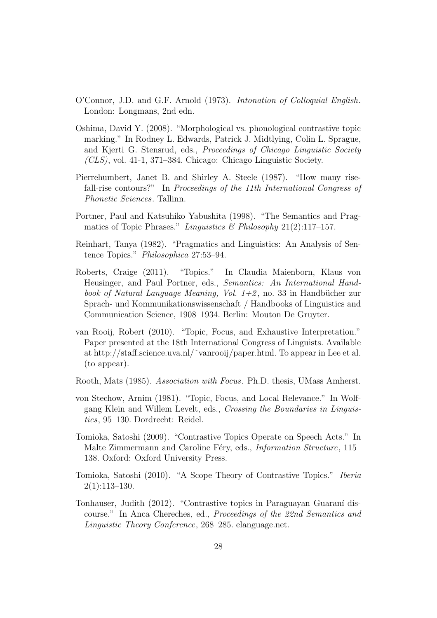- O'Connor, J.D. and G.F. Arnold (1973). Intonation of Colloquial English. London: Longmans, 2nd edn.
- Oshima, David Y. (2008). "Morphological vs. phonological contrastive topic marking." In Rodney L. Edwards, Patrick J. Midtlying, Colin L. Sprague, and Kjerti G. Stensrud, eds., Proceedings of Chicago Linguistic Society  $(CLS)$ , vol. 41-1, 371–384. Chicago: Chicago Linguistic Society.
- Pierrehumbert, Janet B. and Shirley A. Steele (1987). "How many risefall-rise contours?" In Proceedings of the 11th International Congress of Phonetic Sciences. Tallinn.
- Portner, Paul and Katsuhiko Yabushita (1998). "The Semantics and Pragmatics of Topic Phrases." Linguistics & Philosophy  $21(2):117-157$ .
- Reinhart, Tanya (1982). "Pragmatics and Linguistics: An Analysis of Sentence Topics." Philosophica 27:53–94.
- Roberts, Craige (2011). "Topics." In Claudia Maienborn, Klaus von Heusinger, and Paul Portner, eds., Semantics: An International Handbook of Natural Language Meaning, Vol.  $1+2$ , no. 33 in Handbücher zur Sprach- und Kommunikationswissenschaft / Handbooks of Linguistics and Communication Science, 1908–1934. Berlin: Mouton De Gruyter.
- van Rooij, Robert (2010). "Topic, Focus, and Exhaustive Interpretation." Paper presented at the 18th International Congress of Linguists. Available at http://staff.science.uva.nl/˜vanrooij/paper.html. To appear in Lee et al. (to appear).
- Rooth, Mats (1985). Association with Focus. Ph.D. thesis, UMass Amherst.
- von Stechow, Arnim (1981). "Topic, Focus, and Local Relevance." In Wolfgang Klein and Willem Levelt, eds., Crossing the Boundaries in Linguistics, 95–130. Dordrecht: Reidel.
- Tomioka, Satoshi (2009). "Contrastive Topics Operate on Speech Acts." In Malte Zimmermann and Caroline Féry, eds., *Information Structure*, 115– 138. Oxford: Oxford University Press.
- Tomioka, Satoshi (2010). "A Scope Theory of Contrastive Topics." Iberia  $2(1):113-130.$
- Tonhauser, Judith (2012). "Contrastive topics in Paraguayan Guaraní discourse." In Anca Chereches, ed., Proceedings of the 22nd Semantics and Linguistic Theory Conference, 268–285. elanguage.net.